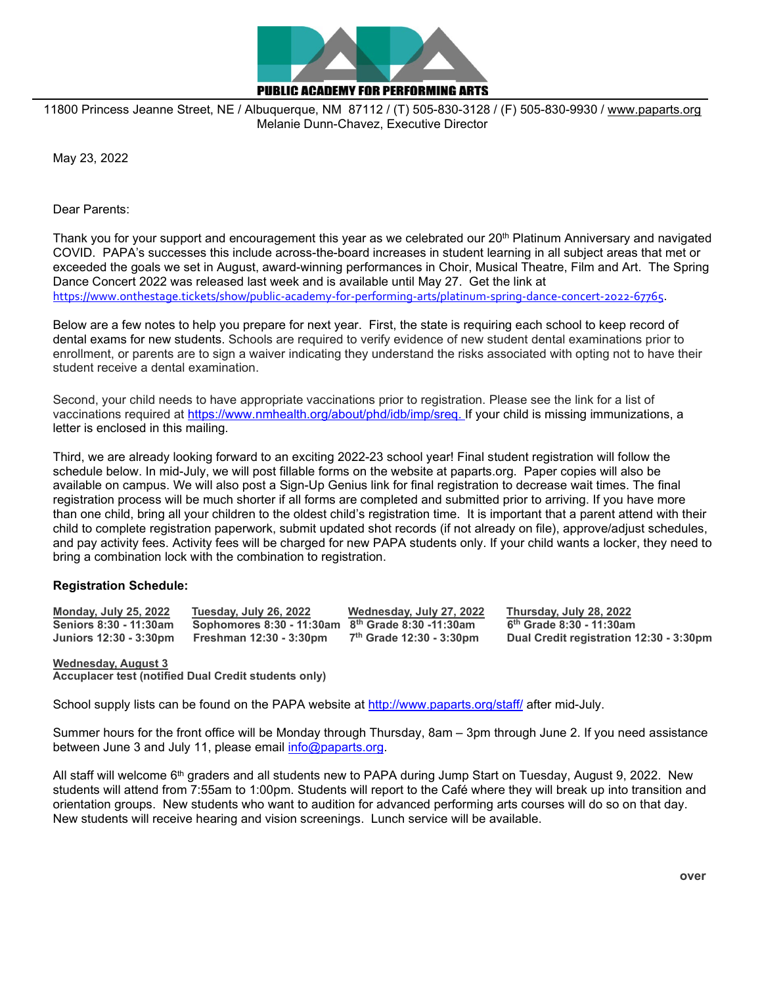

11800 Princess Jeanne Street, NE / Albuquerque, NM 87112 / (T) 505-830-3128 / (F) 505-830-9930 / [www.paparts.org](http://www.paparts.org/) Melanie Dunn-Chavez, Executive Director

May 23, 2022

Dear Parents:

Thank you for your support and encouragement this year as we celebrated our 20<sup>th</sup> Platinum Anniversary and navigated COVID. PAPA's successes this include across-the-board increases in student learning in all subject areas that met or exceeded the goals we set in August, award-winning performances in Choir, Musical Theatre, Film and Art. The Spring Dance Concert 2022 was released last week and is available until May 27. Get the link at <https://www.onthestage.tickets/show/public-academy-for-performing-arts/platinum-spring-dance-concert-2022-67765>.

Below are a few notes to help you prepare for next year. First, the state is requiring each school to keep record of dental exams for new students. Schools are required to verify evidence of new student dental examinations prior to enrollment, or parents are to sign a waiver indicating they understand the risks associated with opting not to have their student receive a dental examination.

Second, your child needs to have appropriate vaccinations prior to registration. Please see the link for a list of vaccinations required at [https://www.nmhealth.org/about/phd/idb/imp/sreq.](https://www.nmhealth.org/about/phd/idb/imp/sreq) If your child is missing immunizations, a letter is enclosed in this mailing.

Third, we are already looking forward to an exciting 2022-23 school year! Final student registration will follow the schedule below. In mid-July, we will post fillable forms on the website at paparts.org. Paper copies will also be available on campus. We will also post a Sign-Up Genius link for final registration to decrease wait times. The final registration process will be much shorter if all forms are completed and submitted prior to arriving. If you have more than one child, bring all your children to the oldest child's registration time. It is important that a parent attend with their child to complete registration paperwork, submit updated shot records (if not already on file), approve/adjust schedules, and pay activity fees. Activity fees will be charged for new PAPA students only. If your child wants a locker, they need to bring a combination lock with the combination to registration.

## **Registration Schedule:**

| <b>Monday, July 25, 2022</b> | Tuesday, July 26, 2022                              | Wednesday, July 27, 2022             | Thursday, July 28, 2022                 |
|------------------------------|-----------------------------------------------------|--------------------------------------|-----------------------------------------|
| Seniors 8:30 - 11:30am       | Sophomores 8:30 - 11:30am $8th$ Grade 8:30 -11:30am |                                      | 6 <sup>th</sup> Grade 8:30 - 11:30am    |
|                              | Juniors 12:30 - 3:30pm    Freshman 12:30 - 3:30pm   | 7 <sup>th</sup> Grade 12:30 - 3:30pm | Dual Credit registration 12:30 - 3:30pm |

**Wednesday, August 3**

**Accuplacer test (notified Dual Credit students only)**

School supply lists can be found on the PAPA website at<http://www.paparts.org/staff/> after mid-July.

Summer hours for the front office will be Monday through Thursday, 8am – 3pm through June 2. If you need assistance between June 3 and July 11, please email [info@paparts.org.](mailto:info@paparts.org)

All staff will welcome  $6<sup>th</sup>$  graders and all students new to PAPA during Jump Start on Tuesday, August 9, 2022. New students will attend from 7:55am to 1:00pm. Students will report to the Café where they will break up into transition and orientation groups. New students who want to audition for advanced performing arts courses will do so on that day. New students will receive hearing and vision screenings. Lunch service will be available.